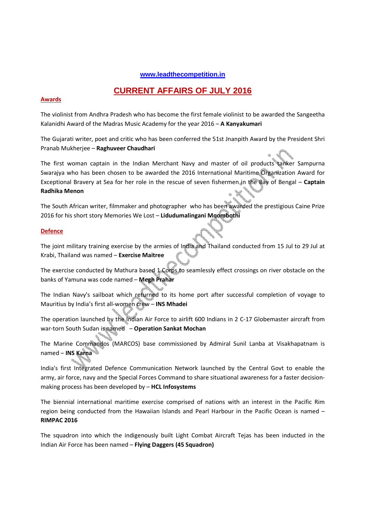### **www.leadthecompetition.in**

# **CURRENT AFFAIRS OF JULY 2016**

### **Awards**

The violinist from Andhra Pradesh who has become the first female violinist to be awarded the Sangeetha Kalanidhi Award of the Madras Music Academy for the year 2016 – **A Kanyakumari**

The Gujarati writer, poet and critic who has been conferred the 51st Jnanpith Award by the President Shri Pranab Mukherjee – **Raghuveer Chaudhari**

The first woman captain in the Indian Merchant Navy and master of oil products tanker Sampurna Swarajya who has been chosen to be awarded the 2016 International Maritime Organization Award for Exceptional Bravery at Sea for her role in the rescue of seven fishermen in the Bay of Bengal – **Captain Radhika Menon** 

The South African writer, filmmaker and photographer who has been awarded the prestigious Caine Prize 2016 for his short story Memories We Lost – **Lidudumalingani Mqombothi** 

### **Defence**

The joint military training exercise by the armies of India and Thailand conducted from 15 Jul to 29 Jul at Krabi, Thailand was named – **Exercise Maitree**

The exercise conducted by Mathura based 1 Corps to seamlessly effect crossings on river obstacle on the banks of Yamuna was code named – **Megh Prahar**

The Indian Navy's sailboat which returned to its home port after successful completion of voyage to Mauritius by India's first all-women crew – **INS Mhadei** 

The operation launched by the Indian Air Force to airlift 600 Indians in 2 C-17 Globemaster aircraft from war-torn South Sudan is named – **Operation Sankat Mochan**

The Marine Commandos (MARCOS) base commissioned by Admiral Sunil Lanba at Visakhapatnam is named – **INS Karna**

India's first Integrated Defence Communication Network launched by the Central Govt to enable the army, air force, navy and the Special Forces Command to share situational awareness for a faster decisionmaking process has been developed by – **HCL Infosystems**

The biennial international maritime exercise comprised of nations with an interest in the Pacific Rim region being conducted from the Hawaiian Islands and Pearl Harbour in the Pacific Ocean is named – **RIMPAC 2016** 

The squadron into which the indigenously built Light Combat Aircraft Tejas has been inducted in the Indian Air Force has been named – **Flying Daggers (45 Squadron)**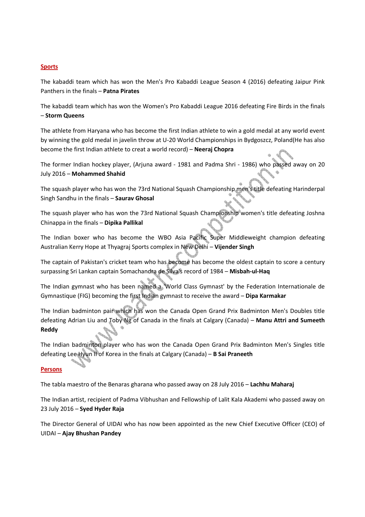### **Sports**

The kabaddi team which has won the Men's Pro Kabaddi League Season 4 (2016) defeating Jaipur Pink Panthers in the finals – **Patna Pirates**

The kabaddi team which has won the Women's Pro Kabaddi League 2016 defeating Fire Birds in the finals – **Storm Queens**

The athlete from Haryana who has become the first Indian athlete to win a gold medal at any world event by winning the gold medal in javelin throw at U-20 World Championships in Bydgoszcz, Poland(He has also become the first Indian athlete to creat a world record) – **Neeraj Chopra** 

The former Indian hockey player, (Arjuna award - 1981 and Padma Shri - 1986) who passed away on 20 July 2016 – **Mohammed Shahid** 

The squash player who has won the 73rd National Squash Championship men's title defeating Harinderpal Singh Sandhu in the finals – **Saurav Ghosal**

The squash player who has won the 73rd National Squash Championship women's title defeating Joshna Chinappa in the finals – **Dipika Pallikal**

The Indian boxer who has become the WBO Asia Pacific Super Middleweight champion defeating Australian Kerry Hope at Thyagraj Sports complex in New Delhi – **Vijender Singh**

The captain of Pakistan's cricket team who has become has become the oldest captain to score a century surpassing Sri Lankan captain Somachandra de Silva's record of 1984 – **Misbah-ul-Haq** 

The Indian gymnast who has been named a 'World Class Gymnast' by the Federation Internationale de Gymnastique (FIG) becoming the first Indian gymnast to receive the award – **Dipa Karmakar**

The Indian badminton pair which has won the Canada Open Grand Prix Badminton Men's Doubles title defeating Adrian Liu and Toby Ng of Canada in the finals at Calgary (Canada) – **Manu Attri and Sumeeth Reddy**

The Indian badminton player who has won the Canada Open Grand Prix Badminton Men's Singles title defeating Lee Hyun II of Korea in the finals at Calgary (Canada) – **B Sai Praneeth**

### **Persons**

The tabla maestro of the Benaras gharana who passed away on 28 July 2016 – **Lachhu Maharaj**

The Indian artist, recipient of Padma Vibhushan and Fellowship of Lalit Kala Akademi who passed away on 23 July 2016 – **Syed Hyder Raja**

The Director General of UIDAI who has now been appointed as the new Chief Executive Officer (CEO) of UIDAI – **Ajay Bhushan Pandey**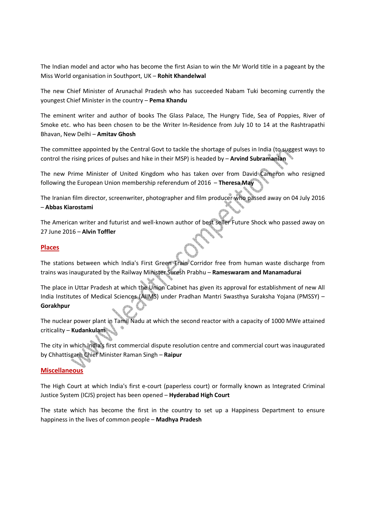The Indian model and actor who has become the first Asian to win the Mr World title in a pageant by the Miss World organisation in Southport, UK – **Rohit Khandelwal**

The new Chief Minister of Arunachal Pradesh who has succeeded Nabam Tuki becoming currently the youngest Chief Minister in the country – **Pema Khandu** 

The eminent writer and author of books The Glass Palace, The Hungry Tide, Sea of Poppies, River of Smoke etc. who has been chosen to be the Writer In-Residence from July 10 to 14 at the Rashtrapathi Bhavan, New Delhi – **Amitav Ghosh**

The committee appointed by the Central Govt to tackle the shortage of pulses in India (to suggest ways to control the rising prices of pulses and hike in their MSP) is headed by – **Arvind Subramanian**

The new Prime Minister of United Kingdom who has taken over from David Cameron who resigned following the European Union membership referendum of 2016 – **Theresa May**

The Iranian film director, screenwriter, photographer and film producer who passed away on 04 July 2016 – **Abbas Kiarostami**

The American writer and futurist and well-known author of best seller Future Shock who passed away on 27 June 2016 – **Alvin Toffler**

### **Places**

The stations between which India's First Green Train Corridor free from human waste discharge from trains was inaugurated by the Railway Minister Suresh Prabhu – **Rameswaram and Manamadurai**

The place in Uttar Pradesh at which the Union Cabinet has given its approval for establishment of new All India Institutes of Medical Sciences (AIIMS) under Pradhan Mantri Swasthya Suraksha Yojana (PMSSY) – **Gorakhpur**

The nuclear power plant in Tamil Nadu at which the second reactor with a capacity of 1000 MWe attained criticality – **Kudankulam**

The city in which India's first commercial dispute resolution centre and commercial court was inaugurated by Chhattisgarh Chief Minister Raman Singh – **Raipur**

### **Miscellaneous**

The High Court at which India's first e-court (paperless court) or formally known as Integrated Criminal Justice System (ICJS) project has been opened – **Hyderabad High Court**

The state which has become the first in the country to set up a Happiness Department to ensure happiness in the lives of common people – **Madhya Pradesh**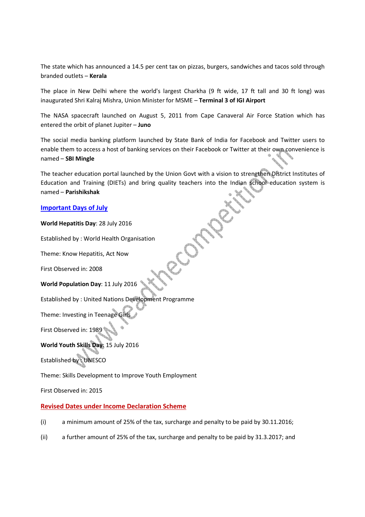The state which has announced a 14.5 per cent tax on pizzas, burgers, sandwiches and tacos sold through branded outlets – **Kerala**

The place in New Delhi where the world's largest Charkha (9 ft wide, 17 ft tall and 30 ft long) was inaugurated Shri Kalraj Mishra, Union Minister for MSME – **Terminal 3 of IGI Airport**

The NASA spacecraft launched on August 5, 2011 from Cape Canaveral Air Force Station which has entered the orbit of planet Jupiter – **Juno**

The social media banking platform launched by State Bank of India for Facebook and Twitter users to enable them to access a host of banking services on their Facebook or Twitter at their own convenience is named – **SBI Mingle**

The teacher education portal launched by the Union Govt with a vision to strengthen District Institutes of Education and Training (DIETs) and bring quality teachers into the Indian school education system is named – **Parishikshak**

ROUT

### **Important Days of July**

**World Hepatitis Day**: 28 July 2016

Established by : World Health Organisation

Theme: Know Hepatitis, Act Now

First Observed in: 2008

**World Population Day**: 11 July 2016

Established by : United Nations Development Programme

Theme: Investing in Teenage Girls

First Observed in: 1989

**World Youth Skills Day**: 15 July 2016

Established by : UNESCO

Theme: Skills Development to Improve Youth Employment

First Observed in: 2015

### **Revised Dates under Income Declaration Scheme**

- (i) a minimum amount of 25% of the tax, surcharge and penalty to be paid by 30.11.2016;
- (ii) a further amount of 25% of the tax, surcharge and penalty to be paid by 31.3.2017; and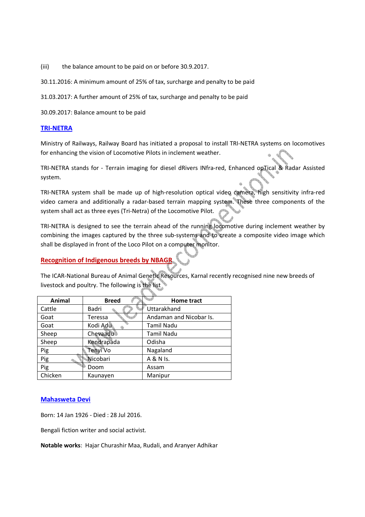(iii) the balance amount to be paid on or before 30.9.2017.

30.11.2016: A minimum amount of 25% of tax, surcharge and penalty to be paid

31.03.2017: A further amount of 25% of tax, surcharge and penalty to be paid

30.09.2017: Balance amount to be paid

### **TRI-NETRA**

Ministry of Railways, Railway Board has initiated a proposal to install TRI-NETRA systems on locomotives for enhancing the vision of Locomotive Pilots in inclement weather.

TRI-NETRA stands for - Terrain imaging for diesel dRivers INfra-red, Enhanced opTical & Radar Assisted system.

TRI-NETRA system shall be made up of high-resolution optical video camera, high sensitivity infra-red video camera and additionally a radar-based terrain mapping system. These three components of the system shall act as three eyes (Tri-Netra) of the Locomotive Pilot.

TRI-NETRA is designed to see the terrain ahead of the running locomotive during inclement weather by combining the images captured by the three sub-systems and to create a composite video image which shall be displayed in front of the Loco Pilot on a computer monitor.

### **Recognition of Indigenous breeds by NBAGR**

The ICAR-National Bureau of Animal Genetic Resources, Karnal recently recognised nine new breeds of livestock and poultry. The following is the list

| Animal  | <b>Breed</b> | Home tract              |
|---------|--------------|-------------------------|
| Cattle  | Badri        | Uttarakhand             |
| Goat    | Teressa      | Andaman and Nicobar Is. |
| Goat    | Kodi Adu     | Tamil Nadu              |
| Sheep   | Chevaadu     | <b>Tamil Nadu</b>       |
| Sheep   | Kendrapada   | Odisha                  |
| Pig     | Tenyi Vo     | Nagaland                |
| Pig     | Nicobari     | A & N Is.               |
| Pig     | Doom         | Assam                   |
| Chicken | Kaunayen     | Manipur                 |

### **Mahasweta Devi**

Born: 14 Jan 1926 - Died : 28 Jul 2016.

Bengali fiction writer and social activist.

**Notable works**: Hajar Churashir Maa, Rudali, and Aranyer Adhikar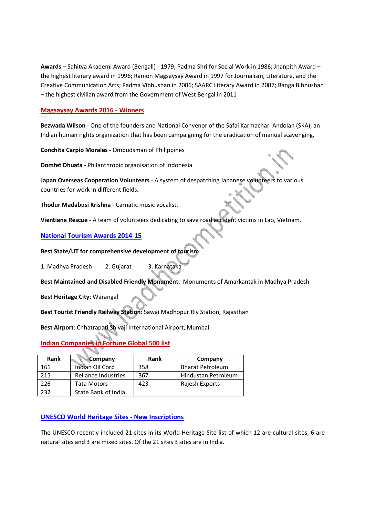**Awards** – Sahitya Akademi Award (Bengali) - 1979; Padma Shri for Social Work in 1986; Jnanpith Award – the highest literary award in 1996; Ramon Magsaysay Award in 1997 for Journalism, Literature, and the Creative Communication Arts; Padma Vibhushan in 2006; SAARC Literary Award in 2007; Banga Bibhushan – the highest civilian award from the Government of West Bengal in 2011

### **Magsaysay Awards 2016 - Winners**

**Bezwada Wilson** - One of the founders and National Convenor of the Safai Karmachari Andolan (SKA), an Indian human rights organization that has been campaigning for the eradication of manual scavenging.

**Conchita Carpio Morales** - Ombudsman of Philippines

**Domfet Dhuafa** - Philanthropic organisation of Indonesia

**Japan Overseas Cooperation Volunteers** - A system of despatching Japanese volunteers to various countries for work in different fields.

**Thodur Madabusi Krishna** - Carnatic music vocalist.

**Vientiane Rescue** - A team of volunteers dedicating to save road accident victims in Lao, Vietnam.

### **National Tourism Awards 2014-15**

**Best State/UT for comprehensive development of tourism** 

1. Madhya Pradesh 2. Gujarat 3. Karnataka

**Best Maintained and Disabled Friendly Monument**: Monuments of Amarkantak in Madhya Pradesh

**Best Heritage City**: Warangal

**Best Tourist Friendly Railway Station**: Sawai Madhopur Rly Station, Rajasthan

**Best Airport**: Chhatrapati Shivaji International Airport, Mumbai

# **Indian Companies in Fortune Global 500 list**

| Rank | Company             | Rank | Company                 |
|------|---------------------|------|-------------------------|
| 161  | Indian Oil Corp     | 358  | <b>Bharat Petroleum</b> |
| 215  | Reliance Industries | 367  | Hindustan Petroleum     |
| 226  | Tata Motors         | 423  | Rajesh Exports          |
| 232  | State Bank of India |      |                         |

### **UNESCO World Heritage Sites - New Inscriptions**

The UNESCO recently included 21 sites in its World Heritage Site list of which 12 are cultural sites, 6 are natural sites and 3 are mixed sites. Of the 21 sites 3 sites are in India.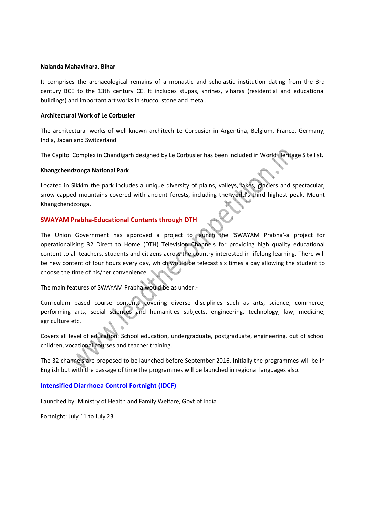### **Nalanda Mahavihara, Bihar**

It comprises the archaeological remains of a monastic and scholastic institution dating from the 3rd century BCE to the 13th century CE. It includes stupas, shrines, viharas (residential and educational buildings) and important art works in stucco, stone and metal.

### **Architectural Work of Le Corbusier**

The architectural works of well-known architech Le Corbusier in Argentina, Belgium, France, Germany, India, Japan and Switzerland

The Capitol Complex in Chandigarh designed by Le Corbusier has been included in World Heritage Site list.

### **Khangchendzonga National Park**

Located in Sikkim the park includes a unique diversity of plains, valleys, lakes, glaciers and spectacular, snow-capped mountains covered with ancient forests, including the world's third highest peak, Mount Khangchendzonga.

### **SWAYAM Prabha-Educational Contents through DTH**

The Union Government has approved a project to launch the 'SWAYAM Prabha'-a project for operationalising 32 Direct to Home (DTH) Television Channels for providing high quality educational content to all teachers, students and citizens across the country interested in lifelong learning. There will be new content of four hours every day, which would be telecast six times a day allowing the student to choose the time of his/her convenience.

The main features of SWAYAM Prabha would be as under:-

Curriculum based course contents covering diverse disciplines such as arts, science, commerce, performing arts, social sciences and humanities subjects, engineering, technology, law, medicine, agriculture etc.

Covers all level of education: School education, undergraduate, postgraduate, engineering, out of school children, vocational courses and teacher training.

The 32 channels are proposed to be launched before September 2016. Initially the programmes will be in English but with the passage of time the programmes will be launched in regional languages also.

**Intensified Diarrhoea Control Fortnight (IDCF)**

Launched by: Ministry of Health and Family Welfare, Govt of India

Fortnight: July 11 to July 23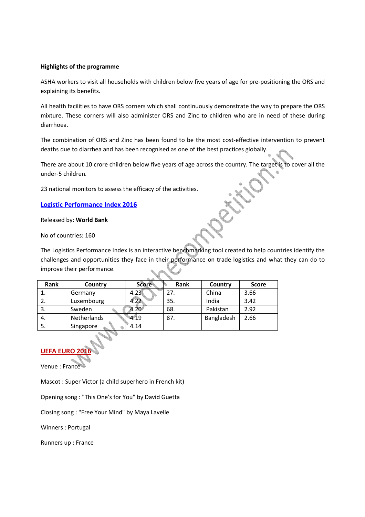### **Highlights of the programme**

ASHA workers to visit all households with children below five years of age for pre-positioning the ORS and explaining its benefits.

All health facilities to have ORS corners which shall continuously demonstrate the way to prepare the ORS mixture. These corners will also administer ORS and Zinc to children who are in need of these during diarrhoea.

The combination of ORS and Zinc has been found to be the most cost-effective intervention to prevent deaths due to diarrhea and has been recognised as one of the best practices globally.

There are about 10 crore children below five years of age across the country. The target is to cover all the under-5 children.

23 national monitors to assess the efficacy of the activities.

**Logistic Performance Index 2016**

Released by: **World Bank**

No of countries: 160

The Logistics Performance Index is an interactive benchmarking tool created to help countries identify the challenges and opportunities they face in their performance on trade logistics and what they can do to improve their performance.

| Rank | Country     | <b>Score</b> | Rank | Country    | <b>Score</b> |
|------|-------------|--------------|------|------------|--------------|
|      | Germany     | 4.23         |      | China      | 3.66         |
| z.   | Luxembourg  | 1.22         | 35.  | India      | 3.42         |
| э.   | Sweden      |              | 68.  | Pakistan   | 2.92         |
| 4.   | Netherlands | 4.19         | 87.  | Bangladesh | 2.66         |
| э.   | Singapore   | 4.14         |      |            |              |

### **UEFA EURO**

Venue : France

Mascot : Super Victor (a child superhero in French kit)

Opening song : "This One's for You" by David Guetta

Closing song : "Free Your Mind" by Maya Lavelle

Winners : Portugal

Runners up : France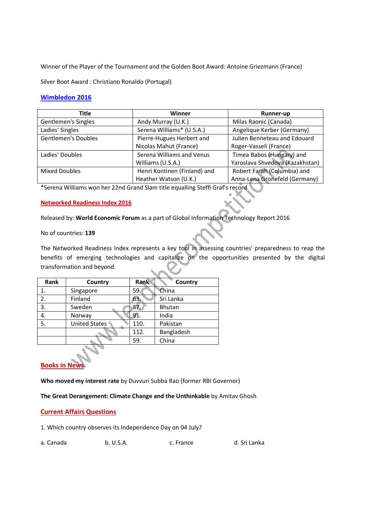Winner of the Player of the Tournament and the Golden Boot Award: Antoine Griezmann (France)

Silver Boot Award : Christiano Ronaldo (Portugal)

### **Wimbledon 2016**

| Title                      | Winner                       | Runner-up                       |
|----------------------------|------------------------------|---------------------------------|
| Gentlemen's Singles        | Andy Murray (U.K.)           | Milas Raonic (Canada)           |
| Ladies' Singles            | Serena Williams* (U.S.A.)    | Angelique Kerber (Germany)      |
| <b>Gentlemen's Doubles</b> | Pierre-Hugues Herbert and    | Julien Benneteau and Edouard    |
|                            | Nicolas Mahut (France)       | Roger-Vasseli (France)          |
| Ladies' Doubles            | Serena Williams and Venus    | Timea Babos (Hungary) and       |
|                            | Williams (U.S.A.)            | Yaroslava Shvedova (Kazakhstan) |
| <b>Mixed Doubles</b>       | Henri Kontinen (Finland) and | Robert Farah (Columbia) and     |
|                            | Heather Watson (U.K.)        | Anna-Lena Gronefeld (Germany)   |

\*Serena Williams won her 22nd Grand Slam title equalling Steffi Graf's record

### **Networked Readiness Index 2016**

Released by: **World Economic Forum** as a part of Global Information Technology Report 2016

### No of countries: **139**

The Networked Readiness Index represents a key tool in assessing countries' preparedness to reap the benefits of emerging technologies and capitalize on the opportunities presented by the digital transformation and beyond.

| Rank | Country              | Rank | Country    |
|------|----------------------|------|------------|
|      | Singapore            | 59.  | China      |
| 2.   | Finland              | 63.  | Sri Lanka  |
| 3.   | Sweden               | 87.  | Bhutan     |
| 4.   | Norway               | 91.  | India      |
| 5.   | <b>United States</b> | 110. | Pakistan   |
|      |                      | 112. | Bangladesh |
|      |                      | 59.  | China      |
|      |                      |      |            |

## **Books in New**

**Who moved my interest rate** by Duvvuri Subba Rao (former RBI Governor)

**The Great Derangement: Climate Change and the Unthinkable** by Amitav Ghosh

### **Current Affairs Questions**

1. Which country observes its Independence Day on 04 July?

| d. Sri Lanka |
|--------------|
|              |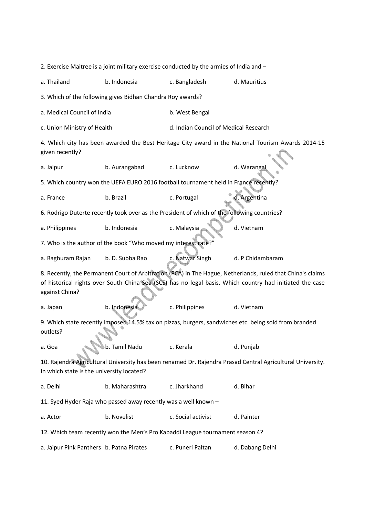| 2. Exercise Maitree is a joint military exercise conducted by the armies of India and -                                                                                                                                                  |                                                                |                                                                                             |                                                                                                    |  |
|------------------------------------------------------------------------------------------------------------------------------------------------------------------------------------------------------------------------------------------|----------------------------------------------------------------|---------------------------------------------------------------------------------------------|----------------------------------------------------------------------------------------------------|--|
| a. Thailand                                                                                                                                                                                                                              | b. Indonesia                                                   | c. Bangladesh                                                                               | d. Mauritius                                                                                       |  |
|                                                                                                                                                                                                                                          | 3. Which of the following gives Bidhan Chandra Roy awards?     |                                                                                             |                                                                                                    |  |
| a. Medical Council of India                                                                                                                                                                                                              |                                                                | b. West Bengal                                                                              |                                                                                                    |  |
| c. Union Ministry of Health                                                                                                                                                                                                              |                                                                | d. Indian Council of Medical Research                                                       |                                                                                                    |  |
| given recently?                                                                                                                                                                                                                          |                                                                |                                                                                             | 4. Which city has been awarded the Best Heritage City award in the National Tourism Awards 2014-15 |  |
| a. Jaipur                                                                                                                                                                                                                                | b. Aurangabad                                                  | c. Lucknow                                                                                  | d. Warangal                                                                                        |  |
|                                                                                                                                                                                                                                          |                                                                | 5. Which country won the UEFA EURO 2016 football tournament held in France recently?        |                                                                                                    |  |
| a. France                                                                                                                                                                                                                                | b. Brazil                                                      | c. Portugal                                                                                 | J. Argentina                                                                                       |  |
|                                                                                                                                                                                                                                          |                                                                | 6. Rodrigo Duterte recently took over as the President of which of the following countries? |                                                                                                    |  |
| a. Philippines                                                                                                                                                                                                                           | b. Indonesia                                                   | c. Malaysia                                                                                 | d. Vietnam                                                                                         |  |
|                                                                                                                                                                                                                                          | 7. Who is the author of the book "Who moved my interest rate?" |                                                                                             |                                                                                                    |  |
| a. Raghuram Rajan                                                                                                                                                                                                                        | b. D. Subba Rao                                                | c. Natwar Singh                                                                             | d. P Chidambaram                                                                                   |  |
| 8. Recently, the Permanent Court of Arbitration (PCA) in The Hague, Netherlands, ruled that China's claims<br>of historical rights over South China Sea (SCS) has no legal basis. Which country had initiated the case<br>against China? |                                                                |                                                                                             |                                                                                                    |  |
| a. Japan                                                                                                                                                                                                                                 | b. Indonesia                                                   | c. Philippines                                                                              | d. Vietnam                                                                                         |  |
| 9. Which state recently imposed 14.5% tax on pizzas, burgers, sandwiches etc. being sold from branded<br>outlets?                                                                                                                        |                                                                |                                                                                             |                                                                                                    |  |
| a. Goa                                                                                                                                                                                                                                   | b. Tamil Nadu                                                  | c. Kerala                                                                                   | d. Punjab                                                                                          |  |
| 10. Rajendra Agricultural University has been renamed Dr. Rajendra Prasad Central Agricultural University.<br>In which state is the university located?                                                                                  |                                                                |                                                                                             |                                                                                                    |  |
| a. Delhi                                                                                                                                                                                                                                 | b. Maharashtra                                                 | c. Jharkhand                                                                                | d. Bihar                                                                                           |  |
| 11. Syed Hyder Raja who passed away recently was a well known -                                                                                                                                                                          |                                                                |                                                                                             |                                                                                                    |  |
| a. Actor                                                                                                                                                                                                                                 | b. Novelist                                                    | c. Social activist                                                                          | d. Painter                                                                                         |  |
| 12. Which team recently won the Men's Pro Kabaddi League tournament season 4?                                                                                                                                                            |                                                                |                                                                                             |                                                                                                    |  |
| a. Jaipur Pink Panthers b. Patna Pirates                                                                                                                                                                                                 |                                                                | c. Puneri Paltan                                                                            | d. Dabang Delhi                                                                                    |  |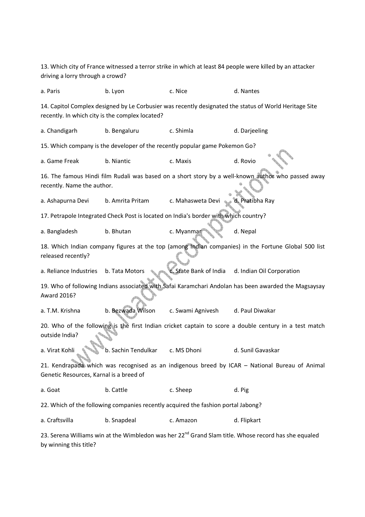13. Which city of France witnessed a terror strike in which at least 84 people were killed by an attacker driving a lorry through a crowd? a. Paris b. Lyon c. Nice d. Nantes 14. Capitol Complex designed by Le Corbusier was recently designated the status of World Heritage Site recently. In which city is the complex located? a. Chandigarh b. Bengaluru c. Shimla d. Darjeeling 15. Which company is the developer of the recently popular game Pokemon Go? a. Game Freak b. Niantic c. Maxis d. Rovio 16. The famous Hindi film Rudali was based on a short story by a well-known author who passed away recently. Name the author. a. Ashapurna Devi b. Amrita Pritam c. Mahasweta Devi d. Pratibha Ray 17. Petrapole Integrated Check Post is located on India's border with which country? a. Bangladesh b. Bhutan c. Myanmar d. Nepal 18. Which Indian company figures at the top (among Indian companies) in the Fortune Global 500 list released recently? a. Reliance Industries b. Tata Motors c. State Bank of India d. Indian Oil Corporation 19. Who of following Indians associated with Safai Karamchari Andolan has been awarded the Magsaysay Award 2016? a. T.M. Krishna b. Bezwada Wilson c. Swami Agnivesh d. Paul Diwakar 20. Who of the following is the first Indian cricket captain to score a double century in a test match outside India? a. Virat Kohli b. Sachin Tendulkar c. MS Dhoni d. Sunil Gavaskar 21. Kendrapada which was recognised as an indigenous breed by ICAR – National Bureau of Animal Genetic Resources, Karnal is a breed of a. Goat b. Cattle c. Sheep d. Pig 22. Which of the following companies recently acquired the fashion portal Jabong? a. Craftsvilla b. Snapdeal c. Amazon d. Flipkart 23. Serena Williams win at the Wimbledon was her 22<sup>nd</sup> Grand Slam title. Whose record has she equaled by winning this title?